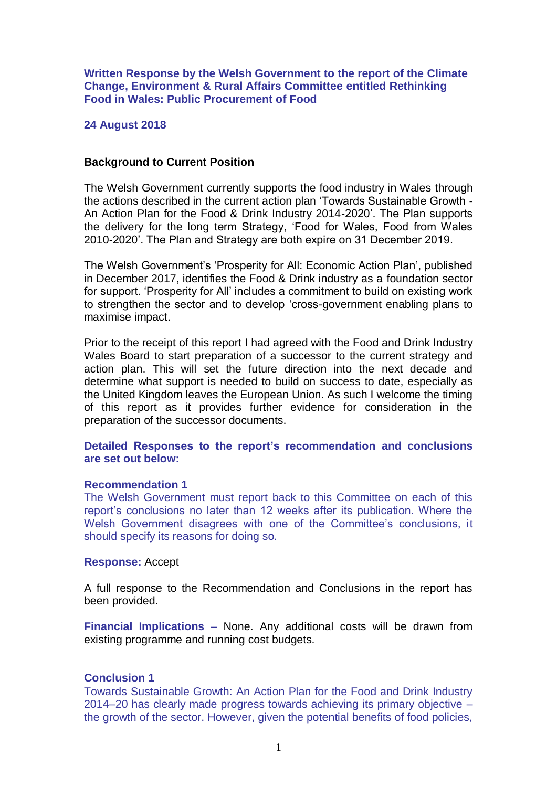**Written Response by the Welsh Government to the report of the Climate Change, Environment & Rural Affairs Committee entitled Rethinking Food in Wales: Public Procurement of Food**

### **24 August 2018**

#### **Background to Current Position**

The Welsh Government currently supports the food industry in Wales through the actions described in the current action plan 'Towards Sustainable Growth - An Action Plan for the Food & Drink Industry 2014-2020'. The Plan supports the delivery for the long term Strategy, 'Food for Wales, Food from Wales 2010-2020'. The Plan and Strategy are both expire on 31 December 2019.

The Welsh Government's 'Prosperity for All: Economic Action Plan', published in December 2017, identifies the Food & Drink industry as a foundation sector for support. 'Prosperity for All' includes a commitment to build on existing work to strengthen the sector and to develop 'cross-government enabling plans to maximise impact.

Prior to the receipt of this report I had agreed with the Food and Drink Industry Wales Board to start preparation of a successor to the current strategy and action plan. This will set the future direction into the next decade and determine what support is needed to build on success to date, especially as the United Kingdom leaves the European Union. As such I welcome the timing of this report as it provides further evidence for consideration in the preparation of the successor documents.

### **Detailed Responses to the report's recommendation and conclusions are set out below:**

#### **Recommendation 1**

The Welsh Government must report back to this Committee on each of this report's conclusions no later than 12 weeks after its publication. Where the Welsh Government disagrees with one of the Committee's conclusions, it should specify its reasons for doing so.

### **Response:** Accept

A full response to the Recommendation and Conclusions in the report has been provided.

**Financial Implications** – None. Any additional costs will be drawn from existing programme and running cost budgets.

### **Conclusion 1**

Towards Sustainable Growth: An Action Plan for the Food and Drink Industry 2014–20 has clearly made progress towards achieving its primary objective – the growth of the sector. However, given the potential benefits of food policies,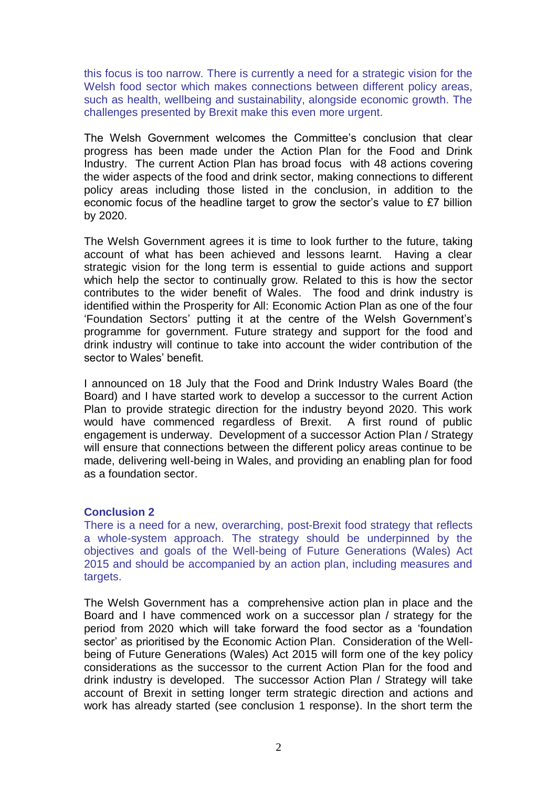this focus is too narrow. There is currently a need for a strategic vision for the Welsh food sector which makes connections between different policy areas, such as health, wellbeing and sustainability, alongside economic growth. The challenges presented by Brexit make this even more urgent.

The Welsh Government welcomes the Committee's conclusion that clear progress has been made under the Action Plan for the Food and Drink Industry. The current Action Plan has broad focus with 48 actions covering the wider aspects of the food and drink sector, making connections to different policy areas including those listed in the conclusion, in addition to the economic focus of the headline target to grow the sector's value to £7 billion by 2020.

The Welsh Government agrees it is time to look further to the future, taking account of what has been achieved and lessons learnt. Having a clear strategic vision for the long term is essential to guide actions and support which help the sector to continually grow. Related to this is how the sector contributes to the wider benefit of Wales. The food and drink industry is identified within the Prosperity for All: Economic Action Plan as one of the four 'Foundation Sectors' putting it at the centre of the Welsh Government's programme for government. Future strategy and support for the food and drink industry will continue to take into account the wider contribution of the sector to Wales' benefit.

I announced on 18 July that the Food and Drink Industry Wales Board (the Board) and I have started work to develop a successor to the current Action Plan to provide strategic direction for the industry beyond 2020. This work would have commenced regardless of Brexit. A first round of public engagement is underway. Development of a successor Action Plan / Strategy will ensure that connections between the different policy areas continue to be made, delivering well-being in Wales, and providing an enabling plan for food as a foundation sector.

### **Conclusion 2**

There is a need for a new, overarching, post-Brexit food strategy that reflects a whole-system approach. The strategy should be underpinned by the objectives and goals of the Well-being of Future Generations (Wales) Act 2015 and should be accompanied by an action plan, including measures and targets.

The Welsh Government has a comprehensive action plan in place and the Board and I have commenced work on a successor plan / strategy for the period from 2020 which will take forward the food sector as a 'foundation sector' as prioritised by the Economic Action Plan. Consideration of the Wellbeing of Future Generations (Wales) Act 2015 will form one of the key policy considerations as the successor to the current Action Plan for the food and drink industry is developed. The successor Action Plan / Strategy will take account of Brexit in setting longer term strategic direction and actions and work has already started (see conclusion 1 response). In the short term the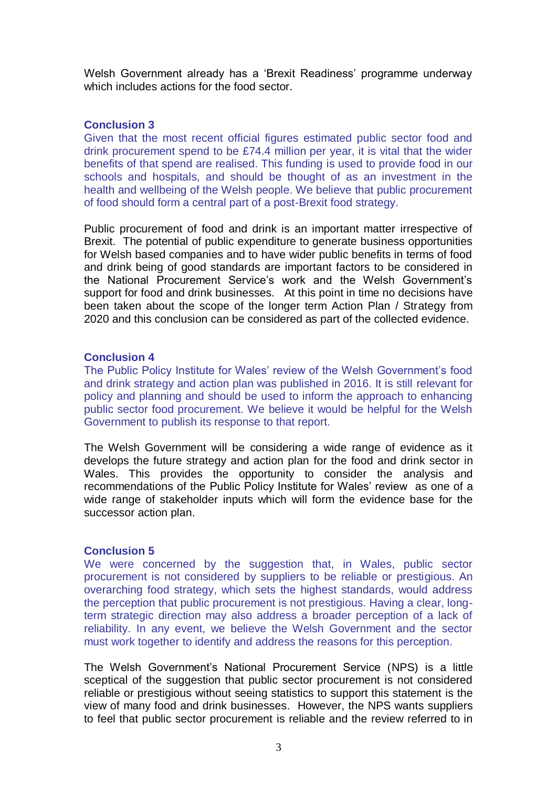Welsh Government already has a 'Brexit Readiness' programme underway which includes actions for the food sector.

# **Conclusion 3**

Given that the most recent official figures estimated public sector food and drink procurement spend to be £74.4 million per year, it is vital that the wider benefits of that spend are realised. This funding is used to provide food in our schools and hospitals, and should be thought of as an investment in the health and wellbeing of the Welsh people. We believe that public procurement of food should form a central part of a post-Brexit food strategy.

Public procurement of food and drink is an important matter irrespective of Brexit. The potential of public expenditure to generate business opportunities for Welsh based companies and to have wider public benefits in terms of food and drink being of good standards are important factors to be considered in the National Procurement Service's work and the Welsh Government's support for food and drink businesses. At this point in time no decisions have been taken about the scope of the longer term Action Plan / Strategy from 2020 and this conclusion can be considered as part of the collected evidence.

# **Conclusion 4**

The Public Policy Institute for Wales' review of the Welsh Government's food and drink strategy and action plan was published in 2016. It is still relevant for policy and planning and should be used to inform the approach to enhancing public sector food procurement. We believe it would be helpful for the Welsh Government to publish its response to that report.

The Welsh Government will be considering a wide range of evidence as it develops the future strategy and action plan for the food and drink sector in Wales. This provides the opportunity to consider the analysis and recommendations of the Public Policy Institute for Wales' review as one of a wide range of stakeholder inputs which will form the evidence base for the successor action plan.

# **Conclusion 5**

We were concerned by the suggestion that, in Wales, public sector procurement is not considered by suppliers to be reliable or prestigious. An overarching food strategy, which sets the highest standards, would address the perception that public procurement is not prestigious. Having a clear, longterm strategic direction may also address a broader perception of a lack of reliability. In any event, we believe the Welsh Government and the sector must work together to identify and address the reasons for this perception.

The Welsh Government's National Procurement Service (NPS) is a little sceptical of the suggestion that public sector procurement is not considered reliable or prestigious without seeing statistics to support this statement is the view of many food and drink businesses. However, the NPS wants suppliers to feel that public sector procurement is reliable and the review referred to in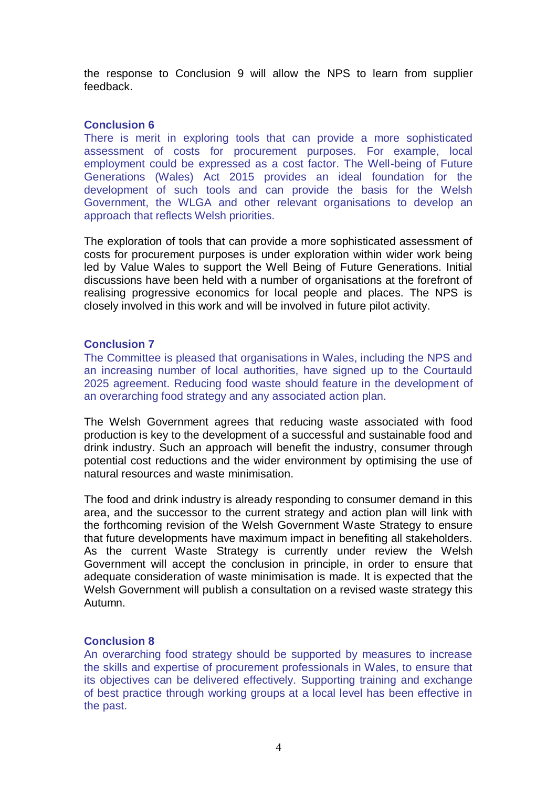the response to Conclusion 9 will allow the NPS to learn from supplier feedback.

## **Conclusion 6**

There is merit in exploring tools that can provide a more sophisticated assessment of costs for procurement purposes. For example, local employment could be expressed as a cost factor. The Well-being of Future Generations (Wales) Act 2015 provides an ideal foundation for the development of such tools and can provide the basis for the Welsh Government, the WLGA and other relevant organisations to develop an approach that reflects Welsh priorities.

The exploration of tools that can provide a more sophisticated assessment of costs for procurement purposes is under exploration within wider work being led by Value Wales to support the Well Being of Future Generations. Initial discussions have been held with a number of organisations at the forefront of realising progressive economics for local people and places. The NPS is closely involved in this work and will be involved in future pilot activity.

## **Conclusion 7**

The Committee is pleased that organisations in Wales, including the NPS and an increasing number of local authorities, have signed up to the Courtauld 2025 agreement. Reducing food waste should feature in the development of an overarching food strategy and any associated action plan.

The Welsh Government agrees that reducing waste associated with food production is key to the development of a successful and sustainable food and drink industry. Such an approach will benefit the industry, consumer through potential cost reductions and the wider environment by optimising the use of natural resources and waste minimisation.

The food and drink industry is already responding to consumer demand in this area, and the successor to the current strategy and action plan will link with the forthcoming revision of the Welsh Government Waste Strategy to ensure that future developments have maximum impact in benefiting all stakeholders. As the current Waste Strategy is currently under review the Welsh Government will accept the conclusion in principle, in order to ensure that adequate consideration of waste minimisation is made. It is expected that the Welsh Government will publish a consultation on a revised waste strategy this Autumn.

# **Conclusion 8**

An overarching food strategy should be supported by measures to increase the skills and expertise of procurement professionals in Wales, to ensure that its objectives can be delivered effectively. Supporting training and exchange of best practice through working groups at a local level has been effective in the past.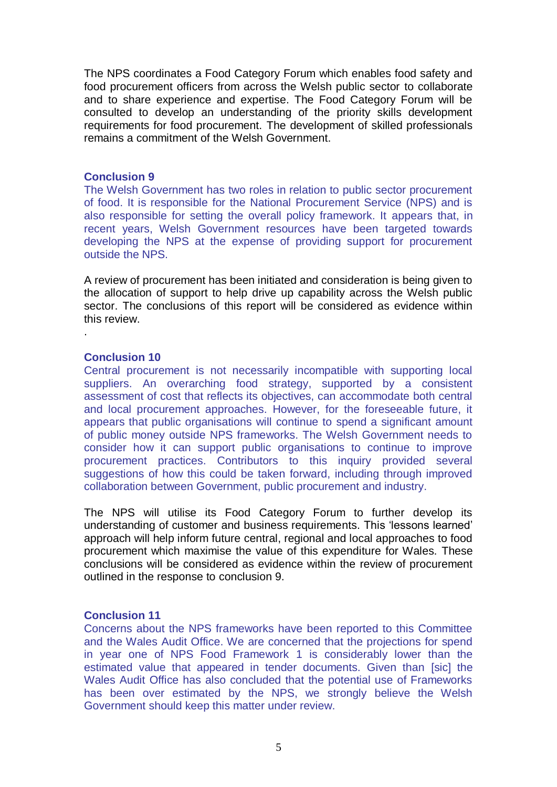The NPS coordinates a Food Category Forum which enables food safety and food procurement officers from across the Welsh public sector to collaborate and to share experience and expertise. The Food Category Forum will be consulted to develop an understanding of the priority skills development requirements for food procurement. The development of skilled professionals remains a commitment of the Welsh Government.

### **Conclusion 9**

The Welsh Government has two roles in relation to public sector procurement of food. It is responsible for the National Procurement Service (NPS) and is also responsible for setting the overall policy framework. It appears that, in recent years, Welsh Government resources have been targeted towards developing the NPS at the expense of providing support for procurement outside the NPS.

A review of procurement has been initiated and consideration is being given to the allocation of support to help drive up capability across the Welsh public sector. The conclusions of this report will be considered as evidence within this review.

## **Conclusion 10**

.

Central procurement is not necessarily incompatible with supporting local suppliers. An overarching food strategy, supported by a consistent assessment of cost that reflects its objectives, can accommodate both central and local procurement approaches. However, for the foreseeable future, it appears that public organisations will continue to spend a significant amount of public money outside NPS frameworks. The Welsh Government needs to consider how it can support public organisations to continue to improve procurement practices. Contributors to this inquiry provided several suggestions of how this could be taken forward, including through improved collaboration between Government, public procurement and industry.

The NPS will utilise its Food Category Forum to further develop its understanding of customer and business requirements. This 'lessons learned' approach will help inform future central, regional and local approaches to food procurement which maximise the value of this expenditure for Wales. These conclusions will be considered as evidence within the review of procurement outlined in the response to conclusion 9.

# **Conclusion 11**

Concerns about the NPS frameworks have been reported to this Committee and the Wales Audit Office. We are concerned that the projections for spend in year one of NPS Food Framework 1 is considerably lower than the estimated value that appeared in tender documents. Given than [sic] the Wales Audit Office has also concluded that the potential use of Frameworks has been over estimated by the NPS, we strongly believe the Welsh Government should keep this matter under review.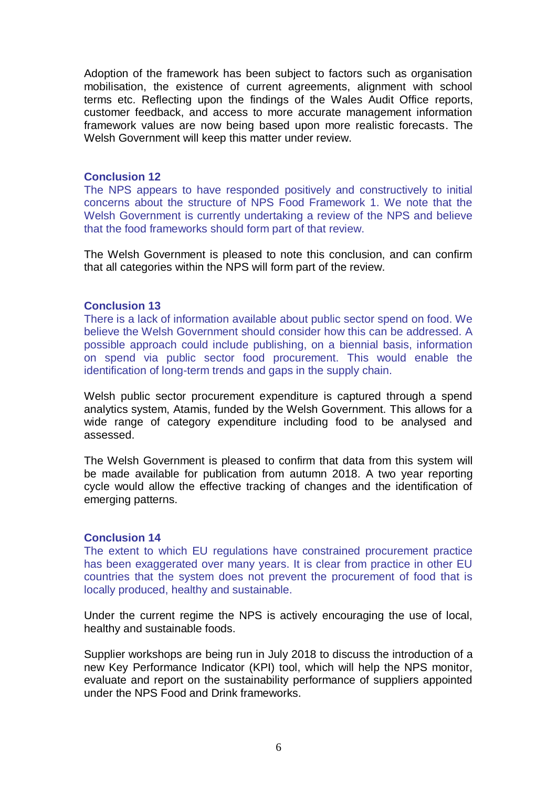Adoption of the framework has been subject to factors such as organisation mobilisation, the existence of current agreements, alignment with school terms etc. Reflecting upon the findings of the Wales Audit Office reports, customer feedback, and access to more accurate management information framework values are now being based upon more realistic forecasts. The Welsh Government will keep this matter under review.

### **Conclusion 12**

The NPS appears to have responded positively and constructively to initial concerns about the structure of NPS Food Framework 1. We note that the Welsh Government is currently undertaking a review of the NPS and believe that the food frameworks should form part of that review.

The Welsh Government is pleased to note this conclusion, and can confirm that all categories within the NPS will form part of the review.

## **Conclusion 13**

There is a lack of information available about public sector spend on food. We believe the Welsh Government should consider how this can be addressed. A possible approach could include publishing, on a biennial basis, information on spend via public sector food procurement. This would enable the identification of long-term trends and gaps in the supply chain.

Welsh public sector procurement expenditure is captured through a spend analytics system, Atamis, funded by the Welsh Government. This allows for a wide range of category expenditure including food to be analysed and assessed.

The Welsh Government is pleased to confirm that data from this system will be made available for publication from autumn 2018. A two year reporting cycle would allow the effective tracking of changes and the identification of emerging patterns.

## **Conclusion 14**

The extent to which EU regulations have constrained procurement practice has been exaggerated over many years. It is clear from practice in other EU countries that the system does not prevent the procurement of food that is locally produced, healthy and sustainable.

Under the current regime the NPS is actively encouraging the use of local, healthy and sustainable foods.

Supplier workshops are being run in July 2018 to discuss the introduction of a new Key Performance Indicator (KPI) tool, which will help the NPS monitor, evaluate and report on the sustainability performance of suppliers appointed under the NPS Food and Drink frameworks.